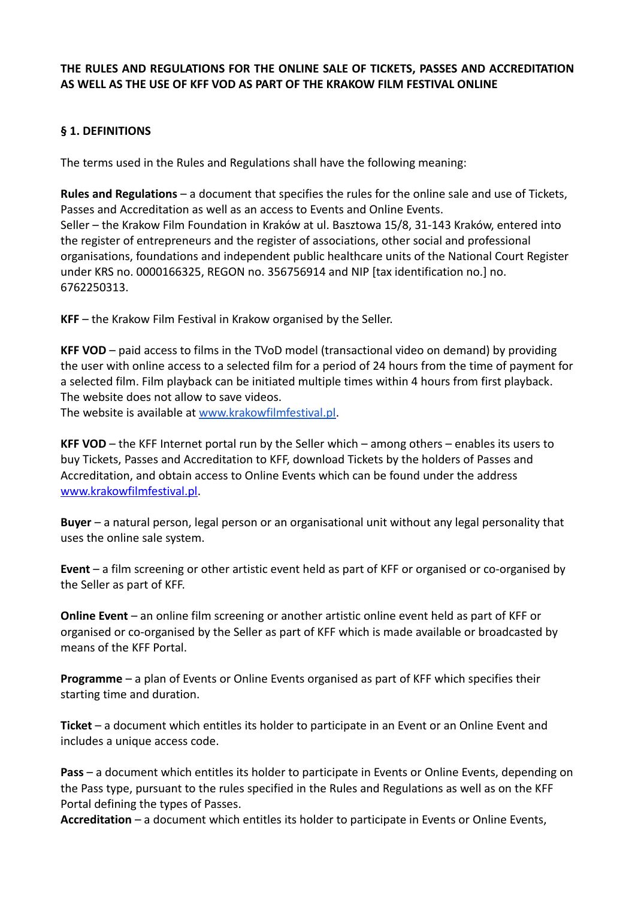#### **THE RULES AND REGULATIONS FOR THE ONLINE SALE OF TICKETS, PASSES AND ACCREDITATION AS WELL AS THE USE OF KFF VOD AS PART OF THE KRAKOW FILM FESTIVAL ONLINE**

### **§ 1. DEFINITIONS**

The terms used in the Rules and Regulations shall have the following meaning:

**Rules and Regulations** – a document that specifies the rules for the online sale and use of Tickets, Passes and Accreditation as well as an access to Events and Online Events. Seller – the Krakow Film Foundation in Kraków at ul. Basztowa 15/8, 31-143 Kraków, entered into the register of entrepreneurs and the register of associations, other social and professional organisations, foundations and independent public healthcare units of the National Court Register under KRS no. 0000166325, REGON no. 356756914 and NIP [tax identification no.] no. 6762250313.

**KFF** – the Krakow Film Festival in Krakow organised by the Seller.

**KFF VOD** – paid access to films in the TVoD model (transactional video on demand) by providing the user with online access to a selected film for a period of 24 hours from the time of payment for a selected film. Film playback can be initiated multiple times within 4 hours from first playback. The website does not allow to save videos.

The website is available at www.krakowfilmfestival.pl.

**KFF VOD** – the KFF Internet portal run by the Seller which – among others – enables its users to buy Tickets, Passes and Accreditation to KFF, download Tickets by the holders of Passes and Accreditation, and obtain access to Online Events which can be found under the address www.krakowfilmfestival.pl.

**Buyer** – a natural person, legal person or an organisational unit without any legal personality that uses the online sale system.

**Event** – a film screening or other artistic event held as part of KFF or organised or co-organised by the Seller as part of KFF.

**Online Event** – an online film screening or another artistic online event held as part of KFF or organised or co-organised by the Seller as part of KFF which is made available or broadcasted by means of the KFF Portal.

**Programme** – a plan of Events or Online Events organised as part of KFF which specifies their starting time and duration.

**Ticket** – a document which entitles its holder to participate in an Event or an Online Event and includes a unique access code.

**Pass** – a document which entitles its holder to participate in Events or Online Events, depending on the Pass type, pursuant to the rules specified in the Rules and Regulations as well as on the KFF Portal defining the types of Passes.

**Accreditation** – a document which entitles its holder to participate in Events or Online Events,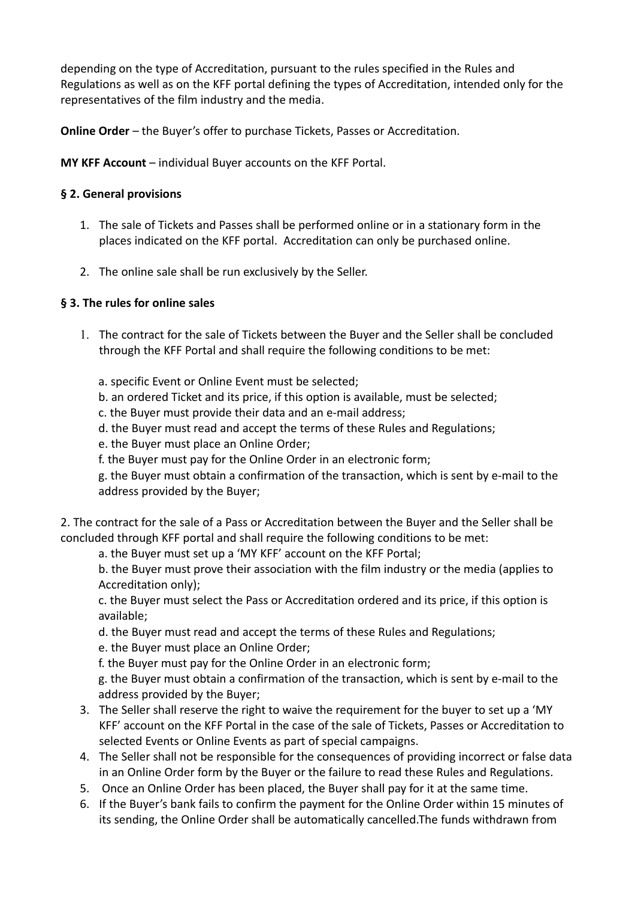depending on the type of Accreditation, pursuant to the rules specified in the Rules and Regulations as well as on the KFF portal defining the types of Accreditation, intended only for the representatives of the film industry and the media.

**Online Order** – the Buyer's offer to purchase Tickets, Passes or Accreditation.

**MY KFF Account** – individual Buyer accounts on the KFF Portal.

### **§ 2. General provisions**

- 1. The sale of Tickets and Passes shall be performed online or in a stationary form in the places indicated on the KFF portal. Accreditation can only be purchased online.
- 2. The online sale shall be run exclusively by the Seller.

### **§ 3. The rules for online sales**

- 1. The contract for the sale of Tickets between the Buyer and the Seller shall be concluded through the KFF Portal and shall require the following conditions to be met:
	- a. specific Event or Online Event must be selected;
	- b. an ordered Ticket and its price, if this option is available, must be selected;
	- c. the Buyer must provide their data and an e-mail address;
	- d. the Buyer must read and accept the terms of these Rules and Regulations;
	- e. the Buyer must place an Online Order;
	- f. the Buyer must pay for the Online Order in an electronic form;

g. the Buyer must obtain a confirmation of the transaction, which is sent by e-mail to the address provided by the Buyer;

2. The contract for the sale of a Pass or Accreditation between the Buyer and the Seller shall be concluded through KFF portal and shall require the following conditions to be met:

a. the Buyer must set up a 'MY KFF' account on the KFF Portal;

b. the Buyer must prove their association with the film industry or the media (applies to Accreditation only);

c. the Buyer must select the Pass or Accreditation ordered and its price, if this option is available;

d. the Buyer must read and accept the terms of these Rules and Regulations;

e. the Buyer must place an Online Order;

f. the Buyer must pay for the Online Order in an electronic form;

g. the Buyer must obtain a confirmation of the transaction, which is sent by e-mail to the address provided by the Buyer;

- 3. The Seller shall reserve the right to waive the requirement for the buyer to set up a 'MY KFF' account on the KFF Portal in the case of the sale of Tickets, Passes or Accreditation to selected Events or Online Events as part of special campaigns.
- 4. The Seller shall not be responsible for the consequences of providing incorrect or false data in an Online Order form by the Buyer or the failure to read these Rules and Regulations.
- 5. Once an Online Order has been placed, the Buyer shall pay for it at the same time.
- 6. If the Buyer's bank fails to confirm the payment for the Online Order within 15 minutes of its sending, the Online Order shall be automatically cancelled.The funds withdrawn from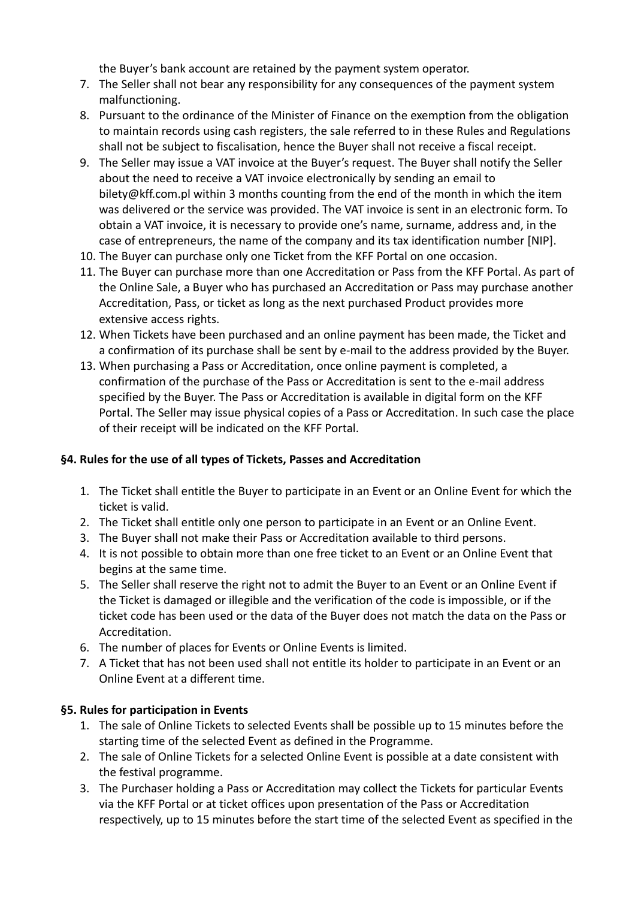the Buyer's bank account are retained by the payment system operator.

- 7. The Seller shall not bear any responsibility for any consequences of the payment system malfunctioning.
- 8. Pursuant to the ordinance of the Minister of Finance on the exemption from the obligation to maintain records using cash registers, the sale referred to in these Rules and Regulations shall not be subject to fiscalisation, hence the Buyer shall not receive a fiscal receipt.
- 9. The Seller may issue a VAT invoice at the Buyer's request. The Buyer shall notify the Seller about the need to receive a VAT invoice electronically by sending an email to bilety@kff.com.pl within 3 months counting from the end of the month in which the item was delivered or the service was provided. The VAT invoice is sent in an electronic form. To obtain a VAT invoice, it is necessary to provide one's name, surname, address and, in the case of entrepreneurs, the name of the company and its tax identification number [NIP].
- 10. The Buyer can purchase only one Ticket from the KFF Portal on one occasion.
- 11. The Buyer can purchase more than one Accreditation or Pass from the KFF Portal. As part of the Online Sale, a Buyer who has purchased an Accreditation or Pass may purchase another Accreditation, Pass, or ticket as long as the next purchased Product provides more extensive access rights.
- 12. When Tickets have been purchased and an online payment has been made, the Ticket and a confirmation of its purchase shall be sent by e-mail to the address provided by the Buyer.
- 13. When purchasing a Pass or Accreditation, once online payment is completed, a confirmation of the purchase of the Pass or Accreditation is sent to the e-mail address specified by the Buyer. The Pass or Accreditation is available in digital form on the KFF Portal. The Seller may issue physical copies of a Pass or Accreditation. In such case the place of their receipt will be indicated on the KFF Portal.

#### **§4. Rules for the use of all types of Tickets, Passes and Accreditation**

- 1. The Ticket shall entitle the Buyer to participate in an Event or an Online Event for which the ticket is valid.
- 2. The Ticket shall entitle only one person to participate in an Event or an Online Event.
- 3. The Buyer shall not make their Pass or Accreditation available to third persons.
- 4. It is not possible to obtain more than one free ticket to an Event or an Online Event that begins at the same time.
- 5. The Seller shall reserve the right not to admit the Buyer to an Event or an Online Event if the Ticket is damaged or illegible and the verification of the code is impossible, or if the ticket code has been used or the data of the Buyer does not match the data on the Pass or Accreditation.
- 6. The number of places for Events or Online Events is limited.
- 7. A Ticket that has not been used shall not entitle its holder to participate in an Event or an Online Event at a different time.

#### **§5. Rules for participation in Events**

- 1. The sale of Online Tickets to selected Events shall be possible up to 15 minutes before the starting time of the selected Event as defined in the Programme.
- 2. The sale of Online Tickets for a selected Online Event is possible at a date consistent with the festival programme.
- 3. The Purchaser holding a Pass or Accreditation may collect the Tickets for particular Events via the KFF Portal or at ticket offices upon presentation of the Pass or Accreditation respectively, up to 15 minutes before the start time of the selected Event as specified in the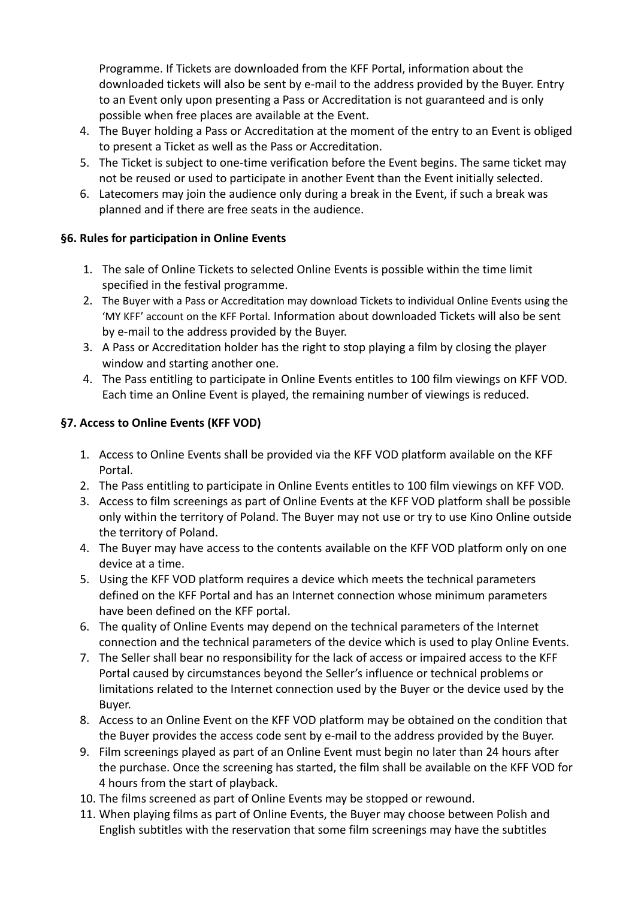Programme. If Tickets are downloaded from the KFF Portal, information about the downloaded tickets will also be sent by e-mail to the address provided by the Buyer. Entry to an Event only upon presenting a Pass or Accreditation is not guaranteed and is only possible when free places are available at the Event.

- 4. The Buyer holding a Pass or Accreditation at the moment of the entry to an Event is obliged to present a Ticket as well as the Pass or Accreditation.
- 5. The Ticket is subject to one-time verification before the Event begins. The same ticket may not be reused or used to participate in another Event than the Event initially selected.
- 6. Latecomers may join the audience only during a break in the Event, if such a break was planned and if there are free seats in the audience.

### **§6. Rules for participation in Online Events**

- 1. The sale of Online Tickets to selected Online Events is possible within the time limit specified in the festival programme.
- 2. The Buyer with a Pass or Accreditation may download Tickets to individual Online Events using the 'MY KFF' account on the KFF Portal. Information about downloaded Tickets will also be sent by e-mail to the address provided by the Buyer.
- 3. A Pass or Accreditation holder has the right to stop playing a film by closing the player window and starting another one.
- 4. The Pass entitling to participate in Online Events entitles to 100 film viewings on KFF VOD. Each time an Online Event is played, the remaining number of viewings is reduced.

# **§7. Access to Online Events (KFF VOD)**

- 1. Access to Online Events shall be provided via the KFF VOD platform available on the KFF Portal.
- 2. The Pass entitling to participate in Online Events entitles to 100 film viewings on KFF VOD.
- 3. Access to film screenings as part of Online Events at the KFF VOD platform shall be possible only within the territory of Poland. The Buyer may not use or try to use Kino Online outside the territory of Poland.
- 4. The Buyer may have access to the contents available on the KFF VOD platform only on one device at a time.
- 5. Using the KFF VOD platform requires a device which meets the technical parameters defined on the KFF Portal and has an Internet connection whose minimum parameters have been defined on the KFF portal.
- 6. The quality of Online Events may depend on the technical parameters of the Internet connection and the technical parameters of the device which is used to play Online Events.
- 7. The Seller shall bear no responsibility for the lack of access or impaired access to the KFF Portal caused by circumstances beyond the Seller's influence or technical problems or limitations related to the Internet connection used by the Buyer or the device used by the Buyer.
- 8. Access to an Online Event on the KFF VOD platform may be obtained on the condition that the Buyer provides the access code sent by e-mail to the address provided by the Buyer.
- 9. Film screenings played as part of an Online Event must begin no later than 24 hours after the purchase. Once the screening has started, the film shall be available on the KFF VOD for 4 hours from the start of playback.
- 10. The films screened as part of Online Events may be stopped or rewound.
- 11. When playing films as part of Online Events, the Buyer may choose between Polish and English subtitles with the reservation that some film screenings may have the subtitles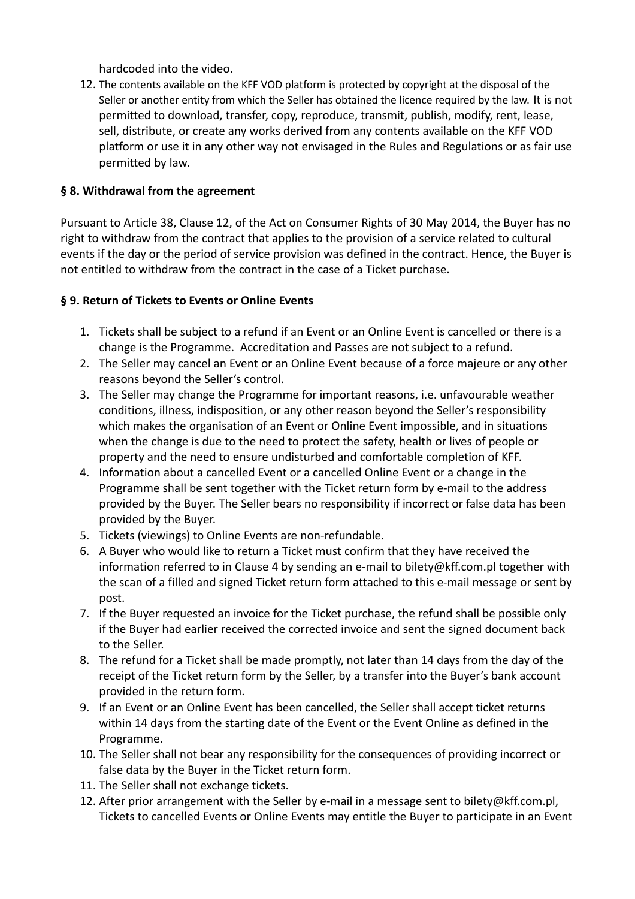hardcoded into the video.

12. The contents available on the KFF VOD platform is protected by copyright at the disposal of the Seller or another entity from which the Seller has obtained the licence required by the law. It is not permitted to download, transfer, copy, reproduce, transmit, publish, modify, rent, lease, sell, distribute, or create any works derived from any contents available on the KFF VOD platform or use it in any other way not envisaged in the Rules and Regulations or as fair use permitted by law.

### **§ 8. Withdrawal from the agreement**

Pursuant to Article 38, Clause 12, of the Act on Consumer Rights of 30 May 2014, the Buyer has no right to withdraw from the contract that applies to the provision of a service related to cultural events if the day or the period of service provision was defined in the contract. Hence, the Buyer is not entitled to withdraw from the contract in the case of a Ticket purchase.

### **§ 9. Return of Tickets to Events or Online Events**

- 1. Tickets shall be subject to a refund if an Event or an Online Event is cancelled or there is a change is the Programme. Accreditation and Passes are not subject to a refund.
- 2. The Seller may cancel an Event or an Online Event because of a force majeure or any other reasons beyond the Seller's control.
- 3. The Seller may change the Programme for important reasons, i.e. unfavourable weather conditions, illness, indisposition, or any other reason beyond the Seller's responsibility which makes the organisation of an Event or Online Event impossible, and in situations when the change is due to the need to protect the safety, health or lives of people or property and the need to ensure undisturbed and comfortable completion of KFF.
- 4. Information about a cancelled Event or a cancelled Online Event or a change in the Programme shall be sent together with the Ticket return form by e-mail to the address provided by the Buyer. The Seller bears no responsibility if incorrect or false data has been provided by the Buyer.
- 5. Tickets (viewings) to Online Events are non-refundable.
- 6. A Buyer who would like to return a Ticket must confirm that they have received the information referred to in Clause 4 by sending an e-mail to bilety@kff.com.pl together with the scan of a filled and signed Ticket return form attached to this e-mail message or sent by post.
- 7. If the Buyer requested an invoice for the Ticket purchase, the refund shall be possible only if the Buyer had earlier received the corrected invoice and sent the signed document back to the Seller.
- 8. The refund for a Ticket shall be made promptly, not later than 14 days from the day of the receipt of the Ticket return form by the Seller, by a transfer into the Buyer's bank account provided in the return form.
- 9. If an Event or an Online Event has been cancelled, the Seller shall accept ticket returns within 14 days from the starting date of the Event or the Event Online as defined in the Programme.
- 10. The Seller shall not bear any responsibility for the consequences of providing incorrect or false data by the Buyer in the Ticket return form.
- 11. The Seller shall not exchange tickets.
- 12. After prior arrangement with the Seller by e-mail in a message sent to bilety@kff.com.pl, Tickets to cancelled Events or Online Events may entitle the Buyer to participate in an Event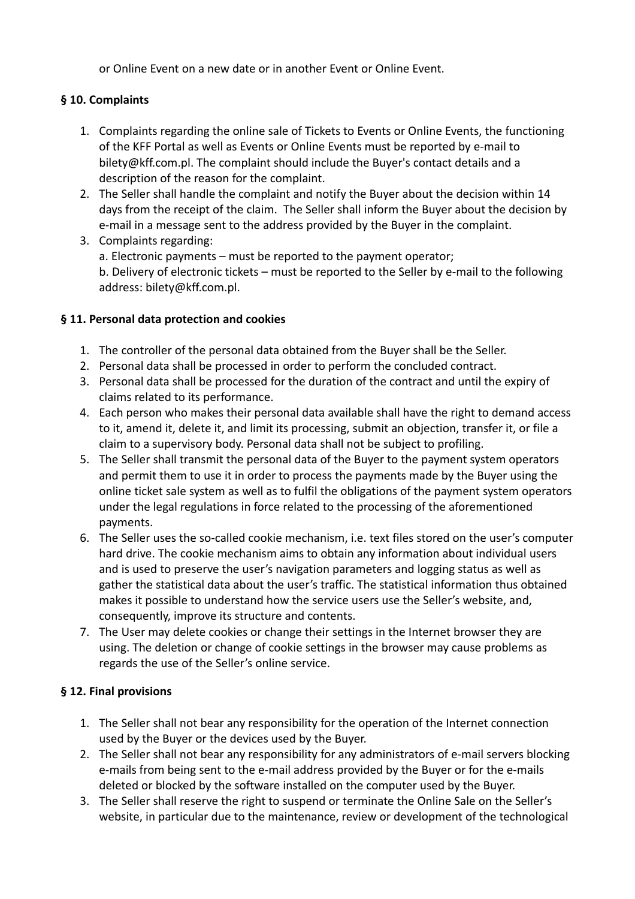or Online Event on a new date or in another Event or Online Event.

# **§ 10. Complaints**

- 1. Complaints regarding the online sale of Tickets to Events or Online Events, the functioning of the KFF Portal as well as Events or Online Events must be reported by e-mail to bilety@kff.com.pl. The complaint should include the Buyer's contact details and a description of the reason for the complaint.
- 2. The Seller shall handle the complaint and notify the Buyer about the decision within 14 days from the receipt of the claim. The Seller shall inform the Buyer about the decision by e-mail in a message sent to the address provided by the Buyer in the complaint.
- 3. Complaints regarding: a. Electronic payments – must be reported to the payment operator; b. Delivery of electronic tickets – must be reported to the Seller by e-mail to the following address: bilety@kff.com.pl.

# **§ 11. Personal data protection and cookies**

- 1. The controller of the personal data obtained from the Buyer shall be the Seller.
- 2. Personal data shall be processed in order to perform the concluded contract.
- 3. Personal data shall be processed for the duration of the contract and until the expiry of claims related to its performance.
- 4. Each person who makes their personal data available shall have the right to demand access to it, amend it, delete it, and limit its processing, submit an objection, transfer it, or file a claim to a supervisory body. Personal data shall not be subject to profiling.
- 5. The Seller shall transmit the personal data of the Buyer to the payment system operators and permit them to use it in order to process the payments made by the Buyer using the online ticket sale system as well as to fulfil the obligations of the payment system operators under the legal regulations in force related to the processing of the aforementioned payments.
- 6. The Seller uses the so-called cookie mechanism, i.e. text files stored on the user's computer hard drive. The cookie mechanism aims to obtain any information about individual users and is used to preserve the user's navigation parameters and logging status as well as gather the statistical data about the user's traffic. The statistical information thus obtained makes it possible to understand how the service users use the Seller's website, and, consequently, improve its structure and contents.
- 7. The User may delete cookies or change their settings in the Internet browser they are using. The deletion or change of cookie settings in the browser may cause problems as regards the use of the Seller's online service.

# **§ 12. Final provisions**

- 1. The Seller shall not bear any responsibility for the operation of the Internet connection used by the Buyer or the devices used by the Buyer.
- 2. The Seller shall not bear any responsibility for any administrators of e-mail servers blocking e-mails from being sent to the e-mail address provided by the Buyer or for the e-mails deleted or blocked by the software installed on the computer used by the Buyer.
- 3. The Seller shall reserve the right to suspend or terminate the Online Sale on the Seller's website, in particular due to the maintenance, review or development of the technological